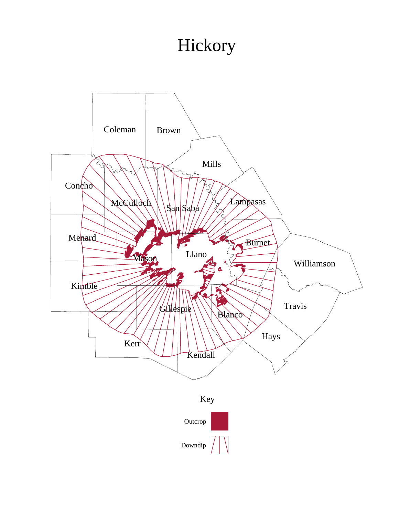## Hickory